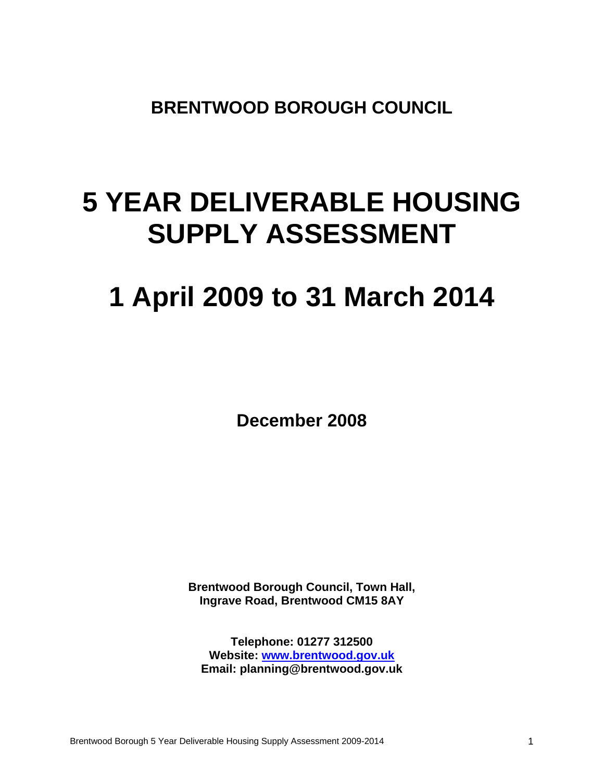**BRENTWOOD BOROUGH COUNCIL** 

# **5 YEAR DELIVERABLE HOUSING SUPPLY ASSESSMENT**

# **1 April 2009 to 31 March 2014**

**December 2008** 

**Brentwood Borough Council, Town Hall, Ingrave Road, Brentwood CM15 8AY** 

**Telephone: 01277 312500 Website: www.brentwood.gov.uk Email: planning@brentwood.gov.uk**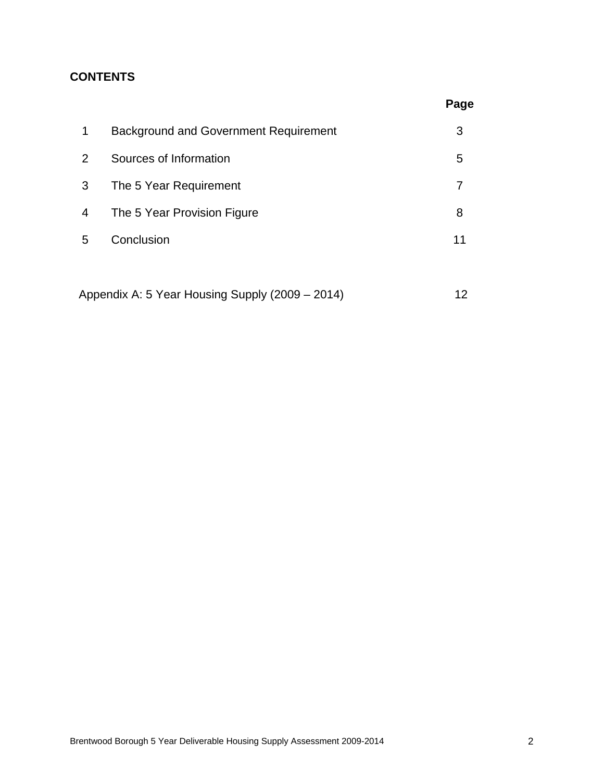# **CONTENTS**

|                                              | Page |
|----------------------------------------------|------|
| <b>Background and Government Requirement</b> | 3    |
| Sources of Information                       | 5    |
| The 5 Year Requirement                       | 7    |
| The 5 Year Provision Figure                  | 8    |
| Conclusion                                   | 11   |
|                                              |      |
|                                              |      |

Appendix A: 5 Year Housing Supply (2009 – 2014) 12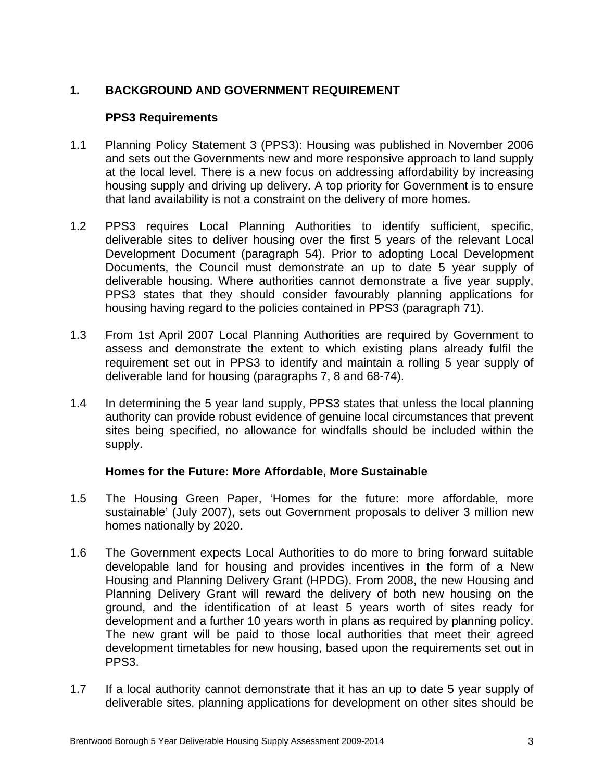# **1. BACKGROUND AND GOVERNMENT REQUIREMENT**

#### **PPS3 Requirements**

- 1.1 Planning Policy Statement 3 (PPS3): Housing was published in November 2006 and sets out the Governments new and more responsive approach to land supply at the local level. There is a new focus on addressing affordability by increasing housing supply and driving up delivery. A top priority for Government is to ensure that land availability is not a constraint on the delivery of more homes.
- 1.2 PPS3 requires Local Planning Authorities to identify sufficient, specific, deliverable sites to deliver housing over the first 5 years of the relevant Local Development Document (paragraph 54). Prior to adopting Local Development Documents, the Council must demonstrate an up to date 5 year supply of deliverable housing. Where authorities cannot demonstrate a five year supply, PPS3 states that they should consider favourably planning applications for housing having regard to the policies contained in PPS3 (paragraph 71).
- 1.3 From 1st April 2007 Local Planning Authorities are required by Government to assess and demonstrate the extent to which existing plans already fulfil the requirement set out in PPS3 to identify and maintain a rolling 5 year supply of deliverable land for housing (paragraphs 7, 8 and 68-74).
- 1.4 In determining the 5 year land supply, PPS3 states that unless the local planning authority can provide robust evidence of genuine local circumstances that prevent sites being specified, no allowance for windfalls should be included within the supply.

#### **Homes for the Future: More Affordable, More Sustainable**

- 1.5 The Housing Green Paper, 'Homes for the future: more affordable, more sustainable' (July 2007), sets out Government proposals to deliver 3 million new homes nationally by 2020.
- 1.6 The Government expects Local Authorities to do more to bring forward suitable developable land for housing and provides incentives in the form of a New Housing and Planning Delivery Grant (HPDG). From 2008, the new Housing and Planning Delivery Grant will reward the delivery of both new housing on the ground, and the identification of at least 5 years worth of sites ready for development and a further 10 years worth in plans as required by planning policy. The new grant will be paid to those local authorities that meet their agreed development timetables for new housing, based upon the requirements set out in PPS3.
- 1.7 If a local authority cannot demonstrate that it has an up to date 5 year supply of deliverable sites, planning applications for development on other sites should be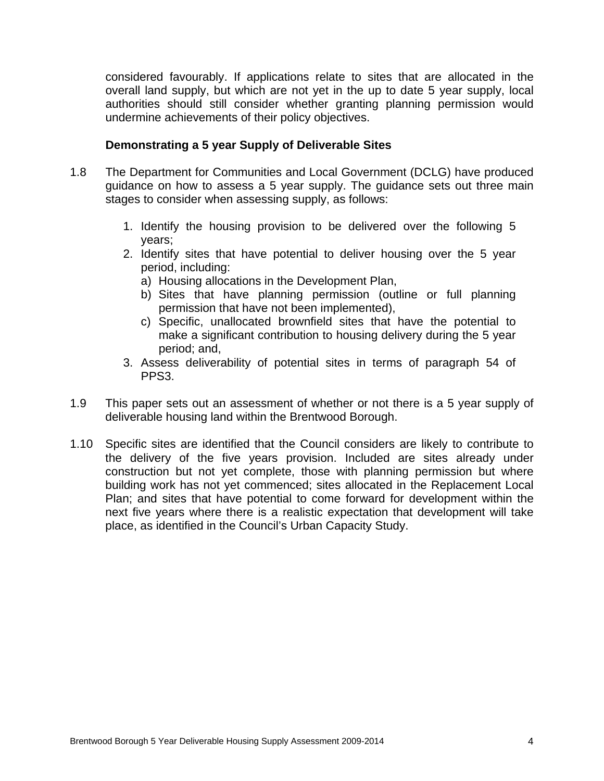considered favourably. If applications relate to sites that are allocated in the overall land supply, but which are not yet in the up to date 5 year supply, local authorities should still consider whether granting planning permission would undermine achievements of their policy objectives.

#### **Demonstrating a 5 year Supply of Deliverable Sites**

- 1.8 The Department for Communities and Local Government (DCLG) have produced guidance on how to assess a 5 year supply. The guidance sets out three main stages to consider when assessing supply, as follows:
	- 1. Identify the housing provision to be delivered over the following 5 years;
	- 2. Identify sites that have potential to deliver housing over the 5 year period, including:
		- a) Housing allocations in the Development Plan,
		- b) Sites that have planning permission (outline or full planning permission that have not been implemented),
		- c) Specific, unallocated brownfield sites that have the potential to make a significant contribution to housing delivery during the 5 year period; and,
	- 3. Assess deliverability of potential sites in terms of paragraph 54 of PPS3.
- 1.9 This paper sets out an assessment of whether or not there is a 5 year supply of deliverable housing land within the Brentwood Borough.
- 1.10 Specific sites are identified that the Council considers are likely to contribute to the delivery of the five years provision. Included are sites already under construction but not yet complete, those with planning permission but where building work has not yet commenced; sites allocated in the Replacement Local Plan; and sites that have potential to come forward for development within the next five years where there is a realistic expectation that development will take place, as identified in the Council's Urban Capacity Study.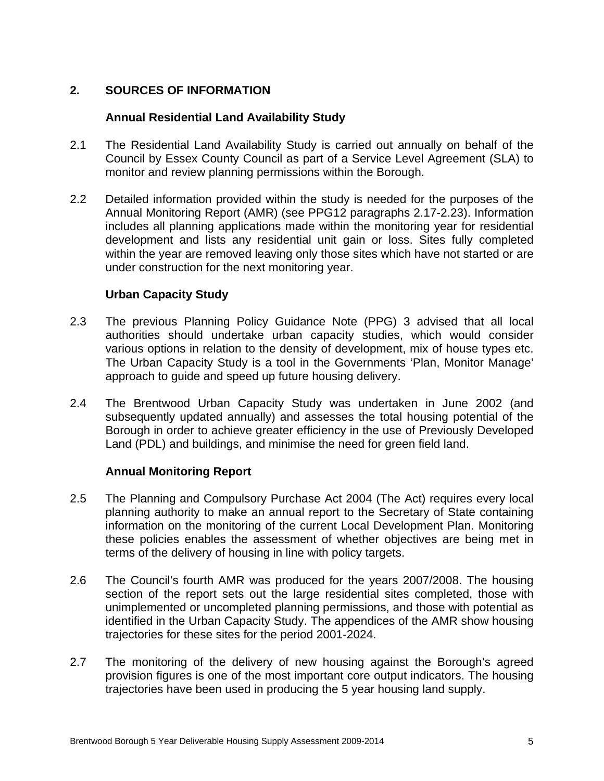# **2. SOURCES OF INFORMATION**

#### **Annual Residential Land Availability Study**

- 2.1 The Residential Land Availability Study is carried out annually on behalf of the Council by Essex County Council as part of a Service Level Agreement (SLA) to monitor and review planning permissions within the Borough.
- 2.2 Detailed information provided within the study is needed for the purposes of the Annual Monitoring Report (AMR) (see PPG12 paragraphs 2.17-2.23). Information includes all planning applications made within the monitoring year for residential development and lists any residential unit gain or loss. Sites fully completed within the year are removed leaving only those sites which have not started or are under construction for the next monitoring year.

#### **Urban Capacity Study**

- 2.3 The previous Planning Policy Guidance Note (PPG) 3 advised that all local authorities should undertake urban capacity studies, which would consider various options in relation to the density of development, mix of house types etc. The Urban Capacity Study is a tool in the Governments 'Plan, Monitor Manage' approach to guide and speed up future housing delivery.
- 2.4 The Brentwood Urban Capacity Study was undertaken in June 2002 (and subsequently updated annually) and assesses the total housing potential of the Borough in order to achieve greater efficiency in the use of Previously Developed Land (PDL) and buildings, and minimise the need for green field land.

#### **Annual Monitoring Report**

- 2.5 The Planning and Compulsory Purchase Act 2004 (The Act) requires every local planning authority to make an annual report to the Secretary of State containing information on the monitoring of the current Local Development Plan. Monitoring these policies enables the assessment of whether objectives are being met in terms of the delivery of housing in line with policy targets.
- 2.6 The Council's fourth AMR was produced for the years 2007/2008. The housing section of the report sets out the large residential sites completed, those with unimplemented or uncompleted planning permissions, and those with potential as identified in the Urban Capacity Study. The appendices of the AMR show housing trajectories for these sites for the period 2001-2024.
- 2.7 The monitoring of the delivery of new housing against the Borough's agreed provision figures is one of the most important core output indicators. The housing trajectories have been used in producing the 5 year housing land supply.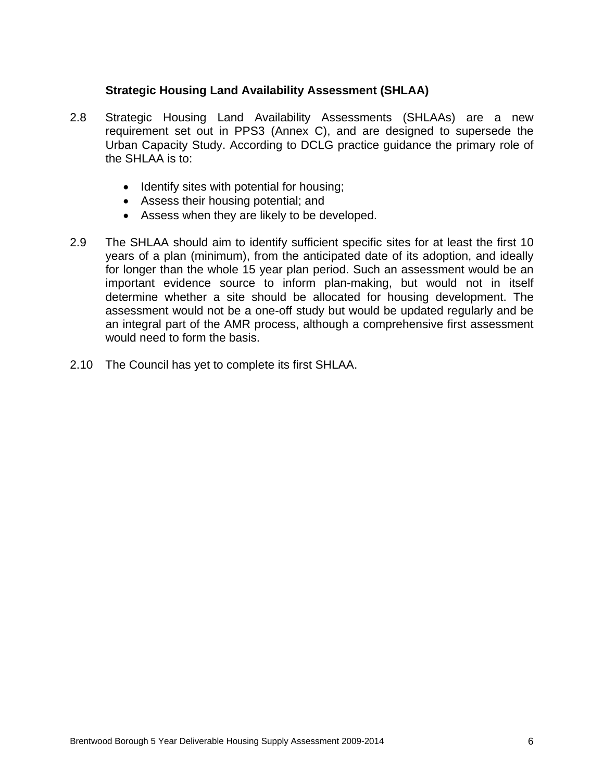#### **Strategic Housing Land Availability Assessment (SHLAA)**

- 2.8 Strategic Housing Land Availability Assessments (SHLAAs) are a new requirement set out in PPS3 (Annex C), and are designed to supersede the Urban Capacity Study. According to DCLG practice guidance the primary role of the SHLAA is to:
	- Identify sites with potential for housing;
	- Assess their housing potential; and
	- Assess when they are likely to be developed.
- 2.9 The SHLAA should aim to identify sufficient specific sites for at least the first 10 years of a plan (minimum), from the anticipated date of its adoption, and ideally for longer than the whole 15 year plan period. Such an assessment would be an important evidence source to inform plan-making, but would not in itself determine whether a site should be allocated for housing development. The assessment would not be a one-off study but would be updated regularly and be an integral part of the AMR process, although a comprehensive first assessment would need to form the basis.
- 2.10 The Council has yet to complete its first SHLAA.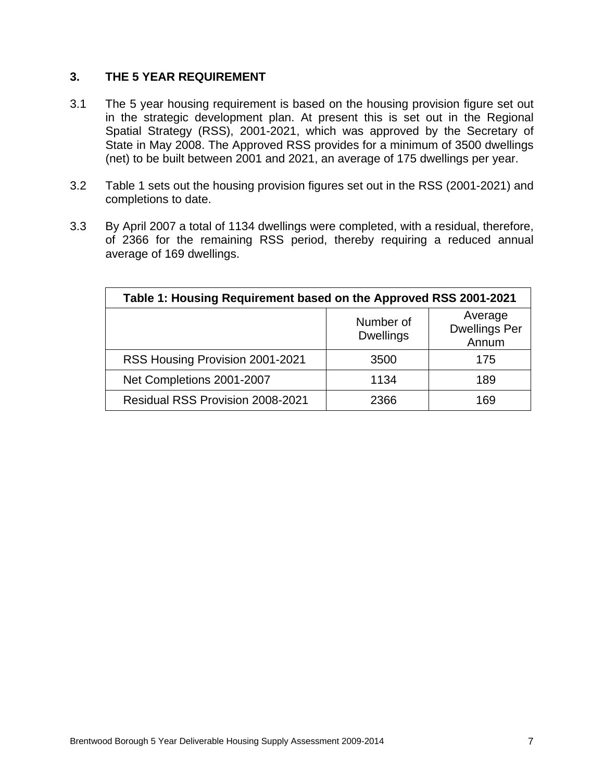#### **3. THE 5 YEAR REQUIREMENT**

- 3.1 The 5 year housing requirement is based on the housing provision figure set out in the strategic development plan. At present this is set out in the Regional Spatial Strategy (RSS), 2001-2021, which was approved by the Secretary of State in May 2008. The Approved RSS provides for a minimum of 3500 dwellings (net) to be built between 2001 and 2021, an average of 175 dwellings per year.
- 3.2 Table 1 sets out the housing provision figures set out in the RSS (2001-2021) and completions to date.
- 3.3 By April 2007 a total of 1134 dwellings were completed, with a residual, therefore, of 2366 for the remaining RSS period, thereby requiring a reduced annual average of 169 dwellings.

| Table 1: Housing Requirement based on the Approved RSS 2001-2021 |                               |                                          |  |  |  |  |  |  |  |
|------------------------------------------------------------------|-------------------------------|------------------------------------------|--|--|--|--|--|--|--|
|                                                                  | Number of<br><b>Dwellings</b> | Average<br><b>Dwellings Per</b><br>Annum |  |  |  |  |  |  |  |
| RSS Housing Provision 2001-2021                                  | 3500                          | 175                                      |  |  |  |  |  |  |  |
| Net Completions 2001-2007                                        | 1134                          | 189                                      |  |  |  |  |  |  |  |
| <b>Residual RSS Provision 2008-2021</b>                          | 2366                          | 169                                      |  |  |  |  |  |  |  |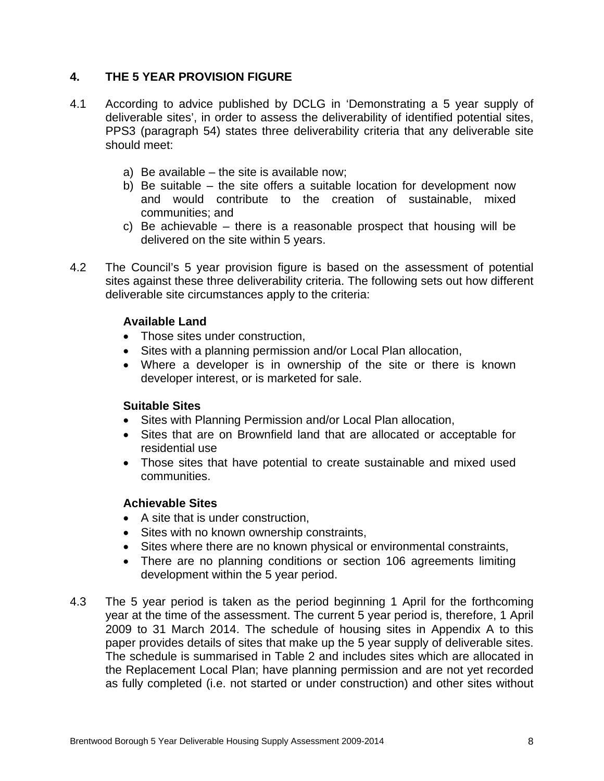## **4. THE 5 YEAR PROVISION FIGURE**

- 4.1 According to advice published by DCLG in 'Demonstrating a 5 year supply of deliverable sites', in order to assess the deliverability of identified potential sites, PPS3 (paragraph 54) states three deliverability criteria that any deliverable site should meet:
	- a) Be available the site is available now;
	- b) Be suitable the site offers a suitable location for development now and would contribute to the creation of sustainable, mixed communities; and
	- c) Be achievable there is a reasonable prospect that housing will be delivered on the site within 5 years.
- 4.2 The Council's 5 year provision figure is based on the assessment of potential sites against these three deliverability criteria. The following sets out how different deliverable site circumstances apply to the criteria:

#### **Available Land**

- Those sites under construction,
- Sites with a planning permission and/or Local Plan allocation,
- Where a developer is in ownership of the site or there is known developer interest, or is marketed for sale.

#### **Suitable Sites**

- Sites with Planning Permission and/or Local Plan allocation,
- Sites that are on Brownfield land that are allocated or acceptable for residential use
- Those sites that have potential to create sustainable and mixed used communities.

#### **Achievable Sites**

- A site that is under construction,
- Sites with no known ownership constraints,
- Sites where there are no known physical or environmental constraints,
- There are no planning conditions or section 106 agreements limiting development within the 5 year period.
- 4.3 The 5 year period is taken as the period beginning 1 April for the forthcoming year at the time of the assessment. The current 5 year period is, therefore, 1 April 2009 to 31 March 2014. The schedule of housing sites in Appendix A to this paper provides details of sites that make up the 5 year supply of deliverable sites. The schedule is summarised in Table 2 and includes sites which are allocated in the Replacement Local Plan; have planning permission and are not yet recorded as fully completed (i.e. not started or under construction) and other sites without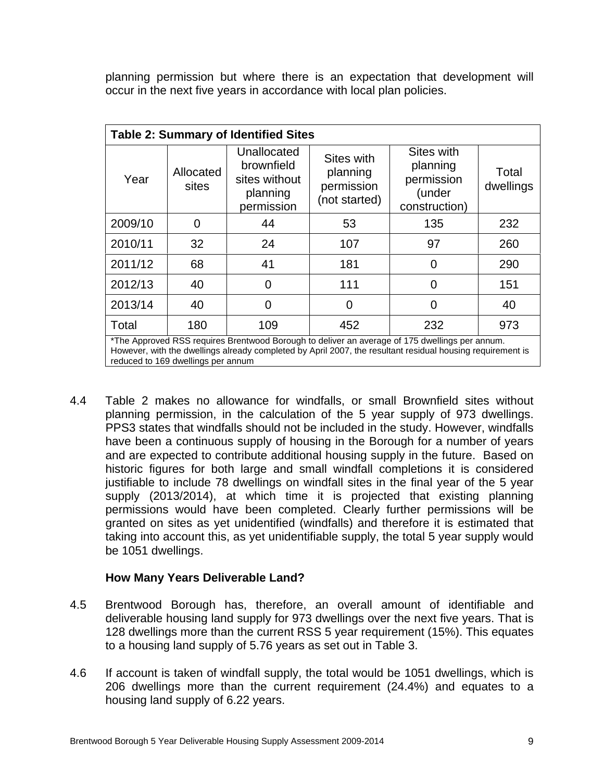planning permission but where there is an expectation that development will occur in the next five years in accordance with local plan policies.

|         | <b>Table 2: Summary of Identified Sites</b>                                                                                                                                                                                                        |                                                                      |                                                       |                                                                 |                    |  |  |  |  |  |  |
|---------|----------------------------------------------------------------------------------------------------------------------------------------------------------------------------------------------------------------------------------------------------|----------------------------------------------------------------------|-------------------------------------------------------|-----------------------------------------------------------------|--------------------|--|--|--|--|--|--|
| Year    | Allocated<br>sites                                                                                                                                                                                                                                 | Unallocated<br>brownfield<br>sites without<br>planning<br>permission | Sites with<br>planning<br>permission<br>(not started) | Sites with<br>planning<br>permission<br>(under<br>construction) | Total<br>dwellings |  |  |  |  |  |  |
| 2009/10 | 0                                                                                                                                                                                                                                                  | 44                                                                   | 53                                                    | 135                                                             | 232                |  |  |  |  |  |  |
| 2010/11 | 32                                                                                                                                                                                                                                                 | 24                                                                   | 107                                                   | 97                                                              | 260                |  |  |  |  |  |  |
| 2011/12 | 68                                                                                                                                                                                                                                                 | 41                                                                   | 181                                                   | 0                                                               | 290                |  |  |  |  |  |  |
| 2012/13 | 40                                                                                                                                                                                                                                                 | 0                                                                    | 111                                                   | 0                                                               | 151                |  |  |  |  |  |  |
| 2013/14 | 40                                                                                                                                                                                                                                                 | 0                                                                    | 0                                                     | 0                                                               | 40                 |  |  |  |  |  |  |
| Total   | 180                                                                                                                                                                                                                                                | 109                                                                  | 452                                                   | 232                                                             | 973                |  |  |  |  |  |  |
|         | *The Approved RSS requires Brentwood Borough to deliver an average of 175 dwellings per annum.<br>However, with the dwellings already completed by April 2007, the resultant residual housing requirement is<br>reduced to 169 dwellings per annum |                                                                      |                                                       |                                                                 |                    |  |  |  |  |  |  |

4.4 Table 2 makes no allowance for windfalls, or small Brownfield sites without planning permission, in the calculation of the 5 year supply of 973 dwellings. PPS3 states that windfalls should not be included in the study. However, windfalls have been a continuous supply of housing in the Borough for a number of years and are expected to contribute additional housing supply in the future. Based on historic figures for both large and small windfall completions it is considered justifiable to include 78 dwellings on windfall sites in the final year of the 5 year supply (2013/2014), at which time it is projected that existing planning permissions would have been completed. Clearly further permissions will be granted on sites as yet unidentified (windfalls) and therefore it is estimated that taking into account this, as yet unidentifiable supply, the total 5 year supply would be 1051 dwellings.

#### **How Many Years Deliverable Land?**

- 4.5 Brentwood Borough has, therefore, an overall amount of identifiable and deliverable housing land supply for 973 dwellings over the next five years. That is 128 dwellings more than the current RSS 5 year requirement (15%). This equates to a housing land supply of 5.76 years as set out in Table 3.
- 4.6 If account is taken of windfall supply, the total would be 1051 dwellings, which is 206 dwellings more than the current requirement (24.4%) and equates to a housing land supply of 6.22 years.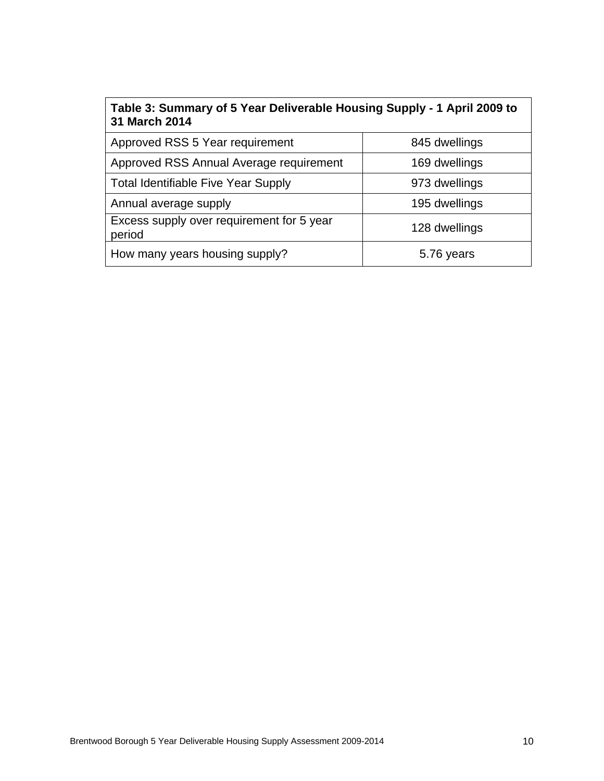| Table 3: Summary of 5 Year Deliverable Housing Supply - 1 April 2009 to<br>31 March 2014 |               |  |  |  |  |  |  |  |
|------------------------------------------------------------------------------------------|---------------|--|--|--|--|--|--|--|
| Approved RSS 5 Year requirement                                                          | 845 dwellings |  |  |  |  |  |  |  |
| Approved RSS Annual Average requirement                                                  | 169 dwellings |  |  |  |  |  |  |  |
| <b>Total Identifiable Five Year Supply</b>                                               | 973 dwellings |  |  |  |  |  |  |  |
| Annual average supply                                                                    | 195 dwellings |  |  |  |  |  |  |  |
| Excess supply over requirement for 5 year<br>period                                      | 128 dwellings |  |  |  |  |  |  |  |
| How many years housing supply?                                                           | 5.76 years    |  |  |  |  |  |  |  |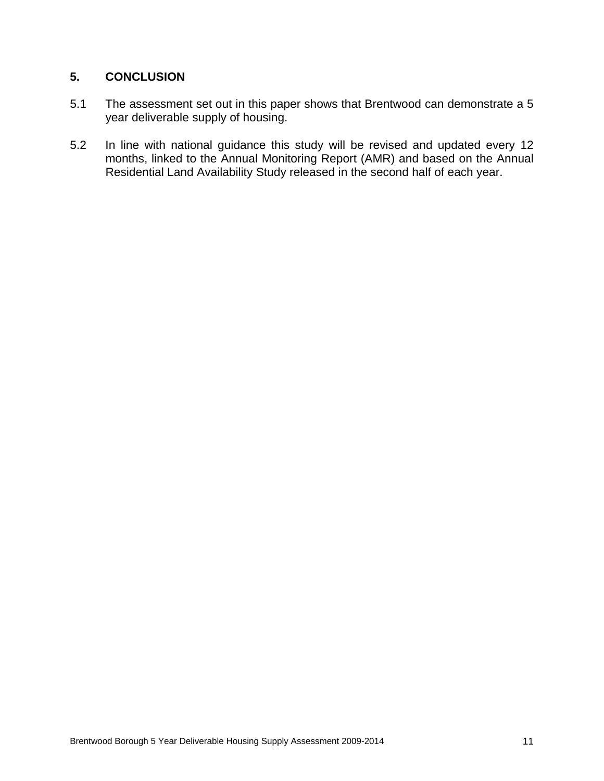## **5. CONCLUSION**

- 5.1 The assessment set out in this paper shows that Brentwood can demonstrate a 5 year deliverable supply of housing.
- 5.2 In line with national guidance this study will be revised and updated every 12 months, linked to the Annual Monitoring Report (AMR) and based on the Annual Residential Land Availability Study released in the second half of each year.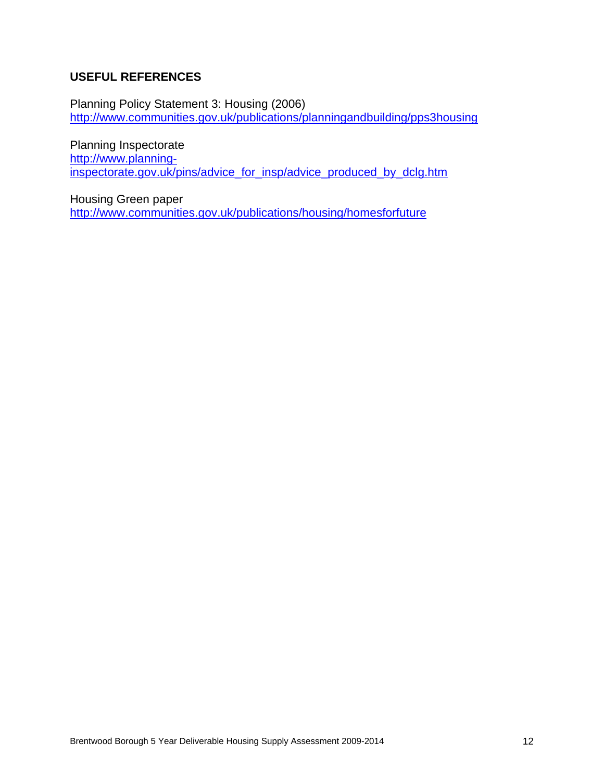# **USEFUL REFERENCES**

Planning Policy Statement 3: Housing (2006) http://www.communities.gov.uk/publications/planningandbuilding/pps3housing

Planning Inspectorate http://www.planninginspectorate.gov.uk/pins/advice\_for\_insp/advice\_produced\_by\_dclg.htm

Housing Green paper http://www.communities.gov.uk/publications/housing/homesforfuture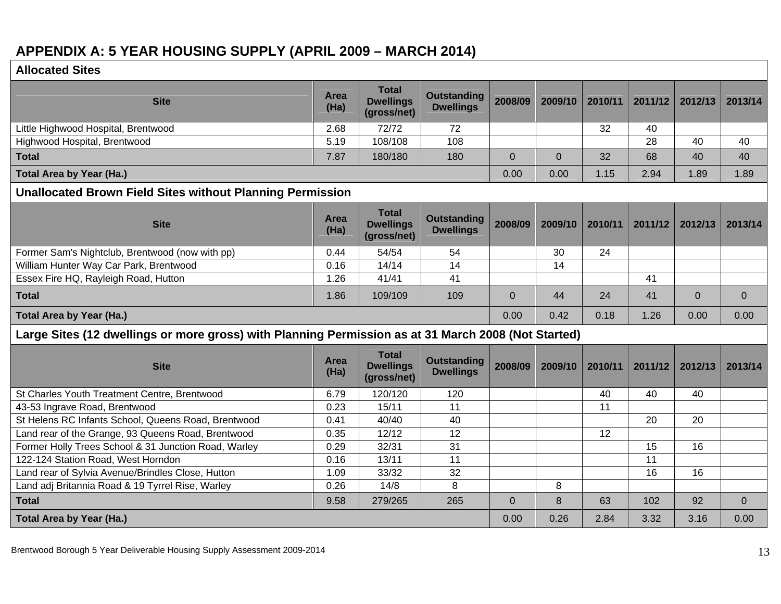# **APPENDIX A: 5 YEAR HOUSING SUPPLY (APRIL 2009 – MARCH 2014)**

| <b>Allocated Sites</b> |  |
|------------------------|--|
|                        |  |

| <b>Site</b>                                                                                         | Area<br>(Ha) | <b>Total</b><br><b>Dwellings</b><br>(gross/net) | <b>Outstanding</b><br><b>Dwellings</b> | 2008/09        | 2009/10        | 2010/11 | 2011/12 | 2012/13  | 2013/14        |
|-----------------------------------------------------------------------------------------------------|--------------|-------------------------------------------------|----------------------------------------|----------------|----------------|---------|---------|----------|----------------|
| Little Highwood Hospital, Brentwood                                                                 | 2.68         | 72/72                                           | 72                                     |                |                | 32      | 40      |          |                |
| Highwood Hospital, Brentwood                                                                        | 5.19         | 108/108                                         | 108                                    |                |                |         | 28      | 40       | 40             |
| <b>Total</b>                                                                                        | 7.87         | 180/180                                         | 180                                    | $\overline{0}$ | $\overline{0}$ | 32      | 68      | 40       | 40             |
| Total Area by Year (Ha.)                                                                            |              |                                                 |                                        | 0.00           | 0.00           | 1.15    | 2.94    | 1.89     | 1.89           |
| <b>Unallocated Brown Field Sites without Planning Permission</b>                                    |              |                                                 |                                        |                |                |         |         |          |                |
| <b>Site</b>                                                                                         | Area<br>(Ha) | <b>Total</b><br><b>Dwellings</b><br>(gross/net) | <b>Outstanding</b><br><b>Dwellings</b> | 2008/09        | 2009/10        | 2010/11 | 2011/12 | 2012/13  | 2013/14        |
| Former Sam's Nightclub, Brentwood (now with pp)                                                     | 0.44         | 54/54                                           | 54                                     |                | 30             | 24      |         |          |                |
| William Hunter Way Car Park, Brentwood                                                              | 0.16         | 14/14                                           | 14                                     |                | 14             |         |         |          |                |
| Essex Fire HQ, Rayleigh Road, Hutton                                                                | 1.26         | 41/41                                           | 41                                     |                |                |         | 41      |          |                |
| <b>Total</b>                                                                                        | 1.86         | 109/109                                         | 109                                    | $\Omega$       | 44             | 24      | 41      | $\Omega$ | $\mathbf{0}$   |
| Total Area by Year (Ha.)                                                                            |              |                                                 |                                        | 0.00           | 0.42           | 0.18    | 1.26    | 0.00     | 0.00           |
| Large Sites (12 dwellings or more gross) with Planning Permission as at 31 March 2008 (Not Started) |              |                                                 |                                        |                |                |         |         |          |                |
| <b>Site</b>                                                                                         | Area<br>(Ha) | <b>Total</b><br><b>Dwellings</b><br>(gross/net) | <b>Outstanding</b><br><b>Dwellings</b> | 2008/09        | 2009/10        | 2010/11 | 2011/12 | 2012/13  | 2013/14        |
| St Charles Youth Treatment Centre, Brentwood                                                        | 6.79         | 120/120                                         | 120                                    |                |                | 40      | 40      | 40       |                |
| 43-53 Ingrave Road, Brentwood                                                                       | 0.23         | 15/11                                           | 11                                     |                |                | 11      |         |          |                |
| St Helens RC Infants School, Queens Road, Brentwood                                                 | 0.41         | 40/40                                           | 40                                     |                |                |         | 20      | 20       |                |
| Land rear of the Grange, 93 Queens Road, Brentwood                                                  | 0.35         | 12/12                                           | 12                                     |                |                | 12      |         |          |                |
| Former Holly Trees School & 31 Junction Road, Warley                                                | 0.29         | 32/31                                           | 31                                     |                |                |         | 15      | 16       |                |
| 122-124 Station Road, West Horndon                                                                  | 0.16         | 13/11                                           | 11                                     |                |                |         | 11      |          |                |
| Land rear of Sylvia Avenue/Brindles Close, Hutton                                                   | 1.09         | 33/32                                           | 32                                     |                |                |         | 16      | 16       |                |
| Land adj Britannia Road & 19 Tyrrel Rise, Warley                                                    | 0.26         | 14/8                                            | 8                                      |                | 8              |         |         |          |                |
| <b>Total</b>                                                                                        | 9.58         | 279/265                                         | 265                                    | $\mathbf{0}$   | 8              | 63      | 102     | 92       | $\overline{0}$ |
| Total Area by Year (Ha.)                                                                            |              |                                                 |                                        | 0.00           | 0.26           | 2.84    | 3.32    | 3.16     | 0.00           |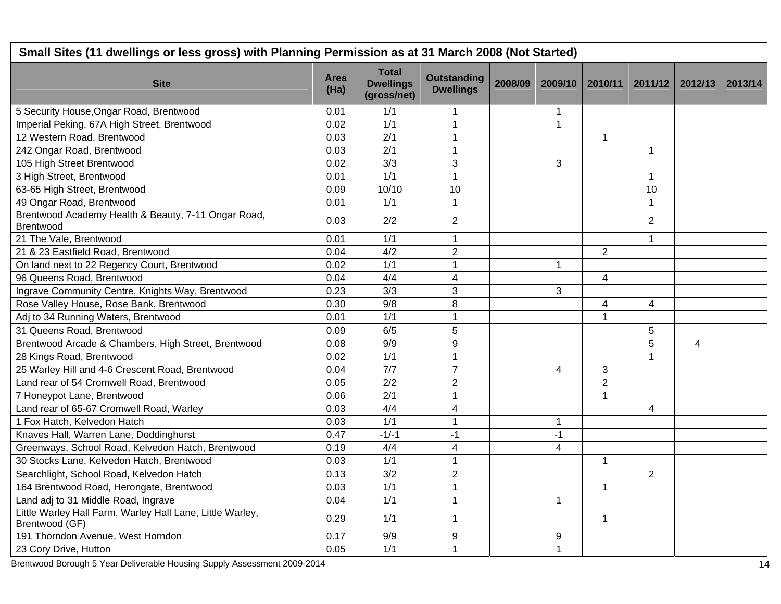| Small Sites (11 dwellings or less gross) with Planning Permission as at 31 March 2008 (Not Started) |              |                                                 |                                        |         |                |                |                |                |         |
|-----------------------------------------------------------------------------------------------------|--------------|-------------------------------------------------|----------------------------------------|---------|----------------|----------------|----------------|----------------|---------|
| <b>Site</b>                                                                                         | Area<br>(Ha) | <b>Total</b><br><b>Dwellings</b><br>(gross/net) | <b>Outstanding</b><br><b>Dwellings</b> | 2008/09 | 2009/10        | 2010/11        | 2011/12        | 2012/13        | 2013/14 |
| 5 Security House, Ongar Road, Brentwood                                                             | 0.01         | 1/1                                             | 1                                      |         | 1              |                |                |                |         |
| Imperial Peking, 67A High Street, Brentwood                                                         | 0.02         | $\overline{1/1}$                                | $\overline{1}$                         |         | $\mathbf{1}$   |                |                |                |         |
| 12 Western Road, Brentwood                                                                          | 0.03         | $\overline{2/1}$                                | $\mathbf{1}$                           |         |                | $\mathbf{1}$   |                |                |         |
| 242 Ongar Road, Brentwood                                                                           | 0.03         | 2/1                                             | $\mathbf{1}$                           |         |                |                | $\mathbf{1}$   |                |         |
| 105 High Street Brentwood                                                                           | 0.02         | 3/3                                             | 3                                      |         | 3              |                |                |                |         |
| 3 High Street, Brentwood                                                                            | 0.01         | 1/1                                             | 1                                      |         |                |                | $\mathbf{1}$   |                |         |
| 63-65 High Street, Brentwood                                                                        | 0.09         | 10/10                                           | 10                                     |         |                |                | 10             |                |         |
| 49 Ongar Road, Brentwood                                                                            | 0.01         | 1/1                                             | $\mathbf 1$                            |         |                |                | $\mathbf 1$    |                |         |
| Brentwood Academy Health & Beauty, 7-11 Ongar Road,<br>Brentwood                                    | 0.03         | 2/2                                             | $\overline{2}$                         |         |                |                | $\overline{2}$ |                |         |
| 21 The Vale, Brentwood                                                                              | 0.01         | 1/1                                             | 1                                      |         |                |                | $\mathbf{1}$   |                |         |
| 21 & 23 Eastfield Road, Brentwood                                                                   | 0.04         | 4/2                                             | $\overline{2}$                         |         |                | $\overline{2}$ |                |                |         |
| On land next to 22 Regency Court, Brentwood                                                         | 0.02         | 1/1                                             | 1                                      |         | $\mathbf{1}$   |                |                |                |         |
| 96 Queens Road, Brentwood                                                                           | 0.04         | 4/4                                             | $\overline{\mathbf{4}}$                |         |                | 4              |                |                |         |
| Ingrave Community Centre, Knights Way, Brentwood                                                    | 0.23         | 3/3                                             | 3                                      |         | 3              |                |                |                |         |
| Rose Valley House, Rose Bank, Brentwood                                                             | 0.30         | 9/8                                             | 8                                      |         |                | 4              | $\overline{4}$ |                |         |
| Adj to 34 Running Waters, Brentwood                                                                 | 0.01         | 1/1                                             | $\mathbf{1}$                           |         |                | $\mathbf{1}$   |                |                |         |
| 31 Queens Road, Brentwood                                                                           | 0.09         | 6/5                                             | 5                                      |         |                |                | 5              |                |         |
| Brentwood Arcade & Chambers, High Street, Brentwood                                                 | 0.08         | 9/9                                             | 9                                      |         |                |                | 5              | $\overline{4}$ |         |
| 28 Kings Road, Brentwood                                                                            | 0.02         | 1/1                                             | $\mathbf 1$                            |         |                |                | $\mathbf{1}$   |                |         |
| 25 Warley Hill and 4-6 Crescent Road, Brentwood                                                     | 0.04         | 7/7                                             | $\overline{7}$                         |         | 4              | 3              |                |                |         |
| Land rear of 54 Cromwell Road, Brentwood                                                            | 0.05         | 2/2                                             | $\overline{2}$                         |         |                | $\overline{2}$ |                |                |         |
| 7 Honeypot Lane, Brentwood                                                                          | 0.06         | 2/1                                             | $\mathbf{1}$                           |         |                | $\mathbf{1}$   |                |                |         |
| Land rear of 65-67 Cromwell Road, Warley                                                            | 0.03         | 4/4                                             | 4                                      |         |                |                | $\overline{4}$ |                |         |
| 1 Fox Hatch, Kelvedon Hatch                                                                         | 0.03         | 1/1                                             | $\mathbf{1}$                           |         | $\mathbf{1}$   |                |                |                |         |
| Knaves Hall, Warren Lane, Doddinghurst                                                              | 0.47         | $-1/-1$                                         | $-1$                                   |         | $-1$           |                |                |                |         |
| Greenways, School Road, Kelvedon Hatch, Brentwood                                                   | 0.19         | 4/4                                             | $\overline{4}$                         |         | $\overline{4}$ |                |                |                |         |
| 30 Stocks Lane, Kelvedon Hatch, Brentwood                                                           | 0.03         | 1/1                                             | $\mathbf{1}$                           |         |                | $\mathbf{1}$   |                |                |         |
| Searchlight, School Road, Kelvedon Hatch                                                            | 0.13         | 3/2                                             | $\overline{2}$                         |         |                |                | $\overline{2}$ |                |         |
| 164 Brentwood Road, Herongate, Brentwood                                                            | 0.03         | 1/1                                             | $\mathbf{1}$                           |         |                | $\mathbf 1$    |                |                |         |
| Land adj to 31 Middle Road, Ingrave                                                                 | 0.04         | 1/1                                             | 1                                      |         | $\mathbf 1$    |                |                |                |         |
| Little Warley Hall Farm, Warley Hall Lane, Little Warley,<br>Brentwood (GF)                         | 0.29         | 1/1                                             | $\mathbf 1$                            |         |                | $\mathbf 1$    |                |                |         |
| 191 Thorndon Avenue, West Horndon                                                                   | 0.17         | 9/9                                             | 9                                      |         | 9              |                |                |                |         |
| 23 Cory Drive, Hutton                                                                               | 0.05         | 1/1                                             | 1                                      |         | $\mathbf{1}$   |                |                |                |         |

Brentwood Borough 5 Year Deliverable Housing Supply Assessment 2009-2014 14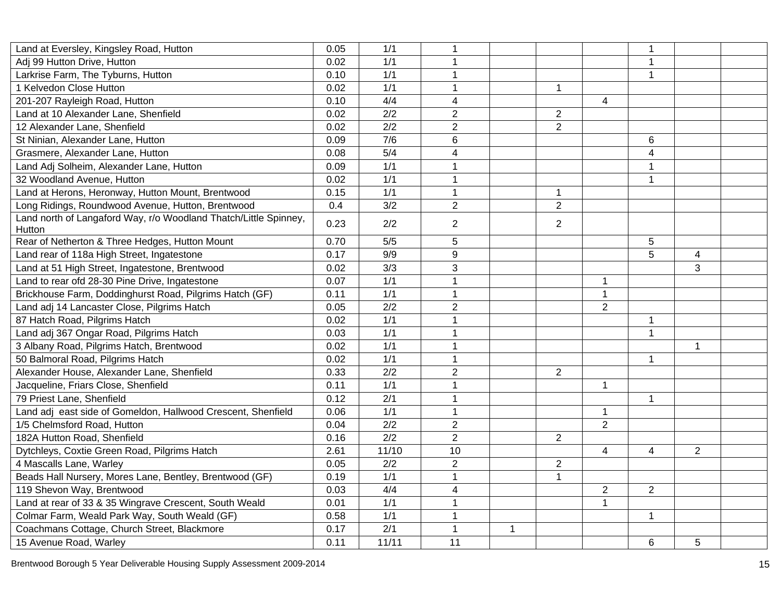| Land at Eversley, Kingsley Road, Hutton                                    | 0.05 | 1/1              | $\mathbf{1}$   |              |                |                | $\mathbf{1}$   |                |  |
|----------------------------------------------------------------------------|------|------------------|----------------|--------------|----------------|----------------|----------------|----------------|--|
| Adj 99 Hutton Drive, Hutton                                                | 0.02 | 1/1              | $\mathbf 1$    |              |                |                | $\mathbf 1$    |                |  |
| Larkrise Farm, The Tyburns, Hutton                                         | 0.10 | 1/1              | $\mathbf{1}$   |              |                |                | $\mathbf{1}$   |                |  |
| 1 Kelvedon Close Hutton                                                    | 0.02 | 1/1              | 1              |              | 1              |                |                |                |  |
| 201-207 Rayleigh Road, Hutton                                              | 0.10 | 4/4              | $\overline{4}$ |              |                | 4              |                |                |  |
| Land at 10 Alexander Lane, Shenfield                                       | 0.02 | $\overline{2/2}$ | $\overline{2}$ |              | $\overline{2}$ |                |                |                |  |
| 12 Alexander Lane, Shenfield                                               | 0.02 | 2/2              | $\overline{2}$ |              | $\overline{2}$ |                |                |                |  |
| St Ninian, Alexander Lane, Hutton                                          | 0.09 | 7/6              | 6              |              |                |                | 6              |                |  |
| Grasmere, Alexander Lane, Hutton                                           | 0.08 | 5/4              | 4              |              |                |                | $\overline{4}$ |                |  |
| Land Adj Solheim, Alexander Lane, Hutton                                   | 0.09 | 1/1              | $\mathbf{1}$   |              |                |                | $\mathbf{1}$   |                |  |
| 32 Woodland Avenue, Hutton                                                 | 0.02 | 1/1              | $\mathbf 1$    |              |                |                | $\mathbf{1}$   |                |  |
| Land at Herons, Heronway, Hutton Mount, Brentwood                          | 0.15 | 1/1              | $\mathbf{1}$   |              | $\mathbf 1$    |                |                |                |  |
| Long Ridings, Roundwood Avenue, Hutton, Brentwood                          | 0.4  | 3/2              | $\overline{2}$ |              | $\overline{2}$ |                |                |                |  |
| Land north of Langaford Way, r/o Woodland Thatch/Little Spinney,<br>Hutton | 0.23 | 2/2              | $\overline{2}$ |              | $\overline{2}$ |                |                |                |  |
| Rear of Netherton & Three Hedges, Hutton Mount                             | 0.70 | 5/5              | 5              |              |                |                | 5              |                |  |
| Land rear of 118a High Street, Ingatestone                                 | 0.17 | 9/9              | 9              |              |                |                | 5              | $\overline{4}$ |  |
| Land at 51 High Street, Ingatestone, Brentwood                             | 0.02 | 3/3              | 3              |              |                |                |                | 3              |  |
| Land to rear ofd 28-30 Pine Drive, Ingatestone                             | 0.07 | 1/1              | $\mathbf{1}$   |              |                | 1              |                |                |  |
| Brickhouse Farm, Doddinghurst Road, Pilgrims Hatch (GF)                    | 0.11 | 1/1              | $\mathbf{1}$   |              |                | $\mathbf{1}$   |                |                |  |
| Land adj 14 Lancaster Close, Pilgrims Hatch                                | 0.05 | 2/2              | $\sqrt{2}$     |              |                | $\overline{2}$ |                |                |  |
| 87 Hatch Road, Pilgrims Hatch                                              | 0.02 | 1/1              | $\mathbf{1}$   |              |                |                | $\mathbf 1$    |                |  |
| Land adj 367 Ongar Road, Pilgrims Hatch                                    | 0.03 | 1/1              | $\mathbf{1}$   |              |                |                | $\mathbf{1}$   |                |  |
| 3 Albany Road, Pilgrims Hatch, Brentwood                                   | 0.02 | 1/1              | $\overline{1}$ |              |                |                |                | 1              |  |
| 50 Balmoral Road, Pilgrims Hatch                                           | 0.02 | 1/1              | $\mathbf{1}$   |              |                |                | $\mathbf{1}$   |                |  |
| Alexander House, Alexander Lane, Shenfield                                 | 0.33 | 2/2              | $\overline{2}$ |              | $\overline{2}$ |                |                |                |  |
| Jacqueline, Friars Close, Shenfield                                        | 0.11 | 1/1              | $\mathbf{1}$   |              |                | $\mathbf{1}$   |                |                |  |
| 79 Priest Lane, Shenfield                                                  | 0.12 | 2/1              | $\mathbf{1}$   |              |                |                | $\mathbf{1}$   |                |  |
| Land adj east side of Gomeldon, Hallwood Crescent, Shenfield               | 0.06 | 1/1              | $\mathbf{1}$   |              |                | $\mathbf{1}$   |                |                |  |
| 1/5 Chelmsford Road, Hutton                                                | 0.04 | 2/2              | $\overline{2}$ |              |                | $\overline{2}$ |                |                |  |
| 182A Hutton Road, Shenfield                                                | 0.16 | 2/2              | $\overline{2}$ |              | $\overline{2}$ |                |                |                |  |
| Dytchleys, Coxtie Green Road, Pilgrims Hatch                               | 2.61 | 11/10            | 10             |              |                | 4              | 4              | $\overline{2}$ |  |
| 4 Mascalls Lane, Warley                                                    | 0.05 | 2/2              | $\overline{2}$ |              | $\overline{2}$ |                |                |                |  |
| Beads Hall Nursery, Mores Lane, Bentley, Brentwood (GF)                    | 0.19 | 1/1              | $\mathbf{1}$   |              | 1              |                |                |                |  |
| 119 Shevon Way, Brentwood                                                  | 0.03 | 4/4              | $\overline{4}$ |              |                | $\overline{2}$ | $\overline{2}$ |                |  |
| Land at rear of 33 & 35 Wingrave Crescent, South Weald                     | 0.01 | 1/1              | $\mathbf{1}$   |              |                | $\mathbf{1}$   |                |                |  |
| Colmar Farm, Weald Park Way, South Weald (GF)                              | 0.58 | 1/1              | $\mathbf{1}$   |              |                |                | $\mathbf{1}$   |                |  |
| Coachmans Cottage, Church Street, Blackmore                                | 0.17 | $\overline{2/1}$ | $\mathbf{1}$   | $\mathbf{1}$ |                |                |                |                |  |
| 15 Avenue Road, Warley                                                     | 0.11 | 11/11            | 11             |              |                |                | 6              | 5              |  |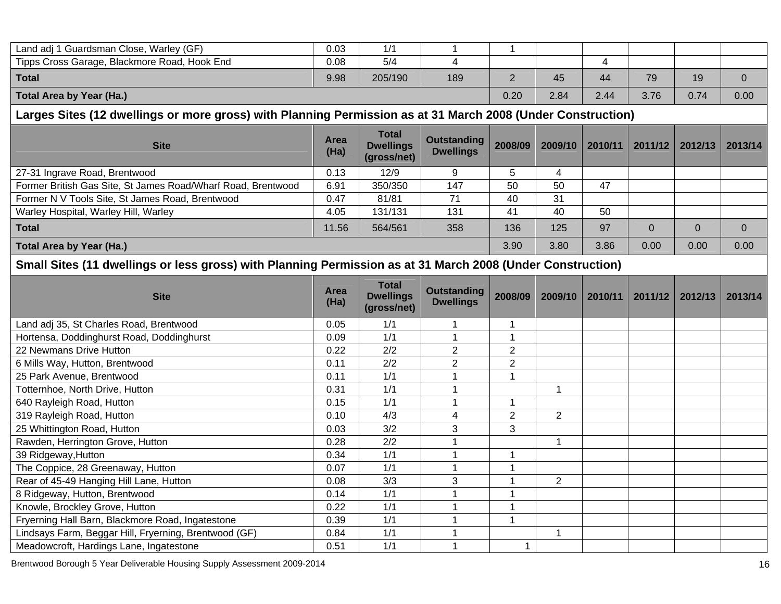| Land adj 1 Guardsman Close, Warley (GF)      | 0.03 | 1/1     |     |   |      |      |      |      |      |
|----------------------------------------------|------|---------|-----|---|------|------|------|------|------|
| Tipps Cross Garage, Blackmore Road, Hook End | 0.08 | 5/4     |     |   |      | ▵    |      |      |      |
| <b>Total</b>                                 | 9.98 | 205/190 | 189 | - | 45   | 44   | 79   | 19   |      |
| Total Area by Year (Ha.)                     |      |         |     |   | 2.84 | 2.44 | 3.76 | 0.74 | 0.00 |

# **Larges Sites (12 dwellings or more gross) with Planning Permission as at 31 March 2008 (Under Construction)**

| <b>Site</b>                                                  | Area<br>(Ha) | <b>Total</b><br><b>Dwellings</b><br>(gross/net) | <b>Outstanding</b><br><b>Dwellings</b> | 2008/09 | 2009/10 | 2010/11 | 2011/12 | 2012/13 | 2013/14 |
|--------------------------------------------------------------|--------------|-------------------------------------------------|----------------------------------------|---------|---------|---------|---------|---------|---------|
| 27-31 Ingrave Road, Brentwood                                | 0.13         | 12/9                                            |                                        | 5       |         |         |         |         |         |
| Former British Gas Site, St James Road/Wharf Road, Brentwood | 6.91         | 350/350                                         | 147                                    | 50      | 50      | 47      |         |         |         |
| Former N V Tools Site, St James Road, Brentwood              | 0.47         | 81/81                                           | 71                                     | 40      | 31      |         |         |         |         |
| Warley Hospital, Warley Hill, Warley                         | 4.05         | 131/131                                         | 131                                    | 41      | 40      | 50      |         |         |         |
| <b>Total</b>                                                 | 11.56        | 564/561                                         | 358                                    | 136     | 125     | 97      |         |         |         |
| Total Area by Year (Ha.)                                     |              |                                                 |                                        |         | 3.80    | 3.86    | 0.00    | 0.00    | 0.00    |

# **Small Sites (11 dwellings or less gross) with Planning Permission as at 31 March 2008 (Under Construction)**

| <b>Site</b>                                           | <b>Area</b><br>(Ha) | <b>Total</b><br><b>Dwellings</b><br>(gross/net) | <b>Outstanding</b><br><b>Dwellings</b> | 2008/09        | 2009/10        | 2010/11 | 2011/12 | 2012/13 | 2013/14 |
|-------------------------------------------------------|---------------------|-------------------------------------------------|----------------------------------------|----------------|----------------|---------|---------|---------|---------|
| Land adj 35, St Charles Road, Brentwood               | 0.05                | 1/1                                             |                                        |                |                |         |         |         |         |
| Hortensa, Doddinghurst Road, Doddinghurst             | 0.09                | 1/1                                             |                                        |                |                |         |         |         |         |
| 22 Newmans Drive Hutton                               | 0.22                | 2/2                                             | $\overline{2}$                         | $\overline{2}$ |                |         |         |         |         |
| 6 Mills Way, Hutton, Brentwood                        | 0.11                | 2/2                                             | 2                                      | $\overline{2}$ |                |         |         |         |         |
| 25 Park Avenue, Brentwood                             | 0.11                | 1/1                                             |                                        |                |                |         |         |         |         |
| Totternhoe, North Drive, Hutton                       | 0.31                | 1/1                                             |                                        |                |                |         |         |         |         |
| 640 Rayleigh Road, Hutton                             | 0.15                | 1/1                                             |                                        |                |                |         |         |         |         |
| 319 Rayleigh Road, Hutton                             | 0.10                | 4/3                                             | 4                                      | $\overline{2}$ | $\overline{2}$ |         |         |         |         |
| 25 Whittington Road, Hutton                           | 0.03                | 3/2                                             | 3                                      | 3              |                |         |         |         |         |
| Rawden, Herrington Grove, Hutton                      | 0.28                | 2/2                                             |                                        |                |                |         |         |         |         |
| 39 Ridgeway, Hutton                                   | 0.34                | 1/1                                             |                                        |                |                |         |         |         |         |
| The Coppice, 28 Greenaway, Hutton                     | 0.07                | 1/1                                             |                                        |                |                |         |         |         |         |
| Rear of 45-49 Hanging Hill Lane, Hutton               | 0.08                | 3/3                                             | 3                                      |                | 2              |         |         |         |         |
| 8 Ridgeway, Hutton, Brentwood                         | 0.14                | 1/1                                             |                                        |                |                |         |         |         |         |
| Knowle, Brockley Grove, Hutton                        | 0.22                | 1/1                                             |                                        |                |                |         |         |         |         |
| Fryerning Hall Barn, Blackmore Road, Ingatestone      | 0.39                | 1/1                                             |                                        |                |                |         |         |         |         |
| Lindsays Farm, Beggar Hill, Fryerning, Brentwood (GF) | 0.84                | 1/1                                             |                                        |                |                |         |         |         |         |
| Meadowcroft, Hardings Lane, Ingatestone               | 0.51                | 1/1                                             |                                        |                |                |         |         |         |         |

Brentwood Borough 5 Year Deliverable Housing Supply Assessment 2009-2014 16 and the state of the state of the state of the state of the state of the state of the state of the state of the state of the state of the state of